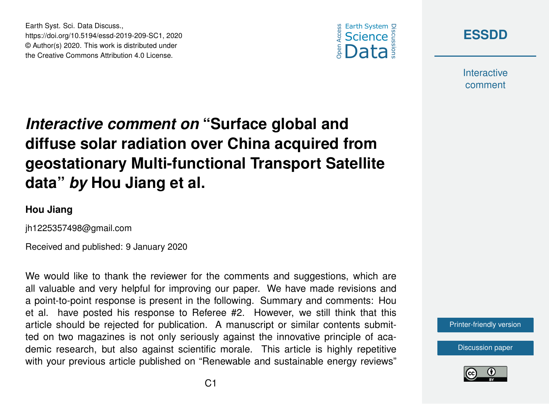



**Interactive** comment

## *Interactive comment on* **"Surface global and diffuse solar radiation over China acquired from geostationary Multi-functional Transport Satellite data"** *by* **Hou Jiang et al.**

## **Hou Jiang**

jh1225357498@gmail.com

Earth Syst. Sci. Data Discuss.,

https://doi.org/10.5194/essd-2019-209-SC1, 2020 © Author(s) 2020. This work is distributed under the Creative Commons Attribution 4.0 License.

Received and published: 9 January 2020

We would like to thank the reviewer for the comments and suggestions, which are all valuable and very helpful for improving our paper. We have made revisions and a point-to-point response is present in the following. Summary and comments: Hou et al. have posted his response to Referee #2. However, we still think that this article should be rejected for publication. A manuscript or similar contents submitted on two magazines is not only seriously against the innovative principle of academic research, but also against scientific morale. This article is highly repetitive with your previous article published on "Renewable and sustainable energy reviews"



[Discussion paper](https://www.earth-syst-sci-data-discuss.net/essd-2019-209)

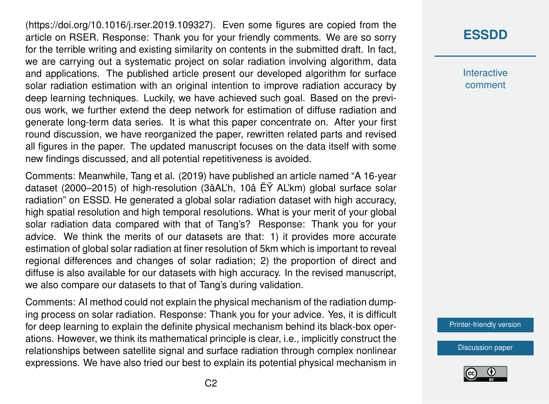(https://doi.org/10.1016/j.rser.2019.109327). Even some figures are copied from the article on RSER. Response: Thank you for your friendly comments. We are so sorry for the terrible writing and existing similarity on contents in the submitted draft. In fact, we are carrying out a systematic project on solar radiation involving algorithm, data and applications. The published article present our developed algorithm for surface solar radiation estimation with an original intention to improve radiation accuracy by deep learning techniques. Luckily, we have achieved such goal. Based on the previous work, we further extend the deep network for estimation of diffuse radiation and generate long-term data series. It is what this paper concentrate on. After your first round discussion, we have reorganized the paper, rewritten related parts and revised all figures in the paper. The updated manuscript focuses on the data itself with some new findings discussed, and all potential repetitiveness is avoided.

Comments: Meanwhile, Tang et al. (2019) have published an article named "A 16-year dataset (2000–2015) of high-resolution (3âAL'h, 10â ËŸ AL'km) global surface solar radiation" on ESSD. He generated a global solar radiation dataset with high accuracy, high spatial resolution and high temporal resolutions. What is your merit of your global solar radiation data compared with that of Tang's? Response: Thank you for your advice. We think the merits of our datasets are that: 1) it provides more accurate estimation of global solar radiation at finer resolution of 5km which is important to reveal regional differences and changes of solar radiation; 2) the proportion of direct and diffuse is also available for our datasets with high accuracy. In the revised manuscript, we also compare our datasets to that of Tang's during validation.

Comments: AI method could not explain the physical mechanism of the radiation dumping process on solar radiation. Response: Thank you for your advice. Yes, it is difficult for deep learning to explain the definite physical mechanism behind its black-box operations. However, we think its mathematical principle is clear, i.e., implicitly construct the relationships between satellite signal and surface radiation through complex nonlinear expressions. We have also tried our best to explain its potential physical mechanism in **[ESSDD](https://www.earth-syst-sci-data-discuss.net/)**

**Interactive** comment

[Printer-friendly version](https://www.earth-syst-sci-data-discuss.net/essd-2019-209/essd-2019-209-SC1-print.pdf)

[Discussion paper](https://www.earth-syst-sci-data-discuss.net/essd-2019-209)